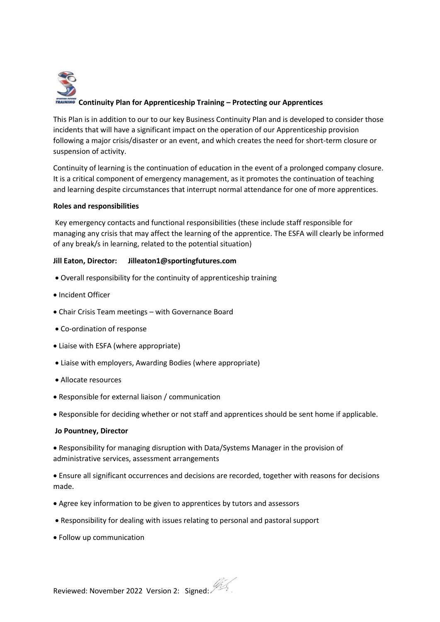

This Plan is in addition to our to our key Business Continuity Plan and is developed to consider those incidents that will have a significant impact on the operation of our Apprenticeship provision following a major crisis/disaster or an event, and which creates the need for short-term closure or suspension of activity.

Continuity of learning is the continuation of education in the event of a prolonged company closure. It is a critical component of emergency management, as it promotes the continuation of teaching and learning despite circumstances that interrupt normal attendance for one of more apprentices.

# **Roles and responsibilities**

Key emergency contacts and functional responsibilities (these include staff responsible for managing any crisis that may affect the learning of the apprentice. The ESFA will clearly be informed of any break/s in learning, related to the potential situation)

# **Jill Eaton, Director: Jilleaton1@sportingfutures.com**

- Overall responsibility for the continuity of apprenticeship training
- Incident Officer
- Chair Crisis Team meetings with Governance Board
- Co-ordination of response
- Liaise with ESFA (where appropriate)
- Liaise with employers, Awarding Bodies (where appropriate)
- Allocate resources
- Responsible for external liaison / communication

• Responsible for deciding whether or not staff and apprentices should be sent home if applicable.

### **Jo Pountney, Director**

• Responsibility for managing disruption with Data/Systems Manager in the provision of administrative services, assessment arrangements

• Ensure all significant occurrences and decisions are recorded, together with reasons for decisions made.

- Agree key information to be given to apprentices by tutors and assessors
- Responsibility for dealing with issues relating to personal and pastoral support
- Follow up communication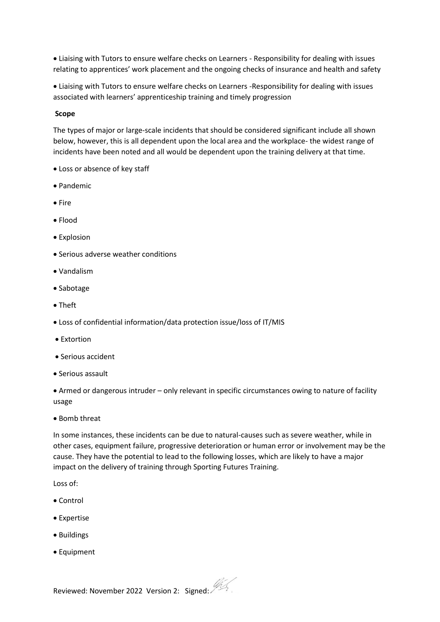• Liaising with Tutors to ensure welfare checks on Learners - Responsibility for dealing with issues relating to apprentices' work placement and the ongoing checks of insurance and health and safety

• Liaising with Tutors to ensure welfare checks on Learners -Responsibility for dealing with issues associated with learners' apprenticeship training and timely progression

#### **Scope**

The types of major or large-scale incidents that should be considered significant include all shown below, however, this is all dependent upon the local area and the workplace- the widest range of incidents have been noted and all would be dependent upon the training delivery at that time.

- Loss or absence of key staff
- Pandemic
- Fire
- Flood
- Explosion
- Serious adverse weather conditions
- Vandalism
- Sabotage
- Theft
- Loss of confidential information/data protection issue/loss of IT/MIS
- Extortion
- Serious accident
- Serious assault

• Armed or dangerous intruder – only relevant in specific circumstances owing to nature of facility usage

• Bomb threat

In some instances, these incidents can be due to natural-causes such as severe weather, while in other cases, equipment failure, progressive deterioration or human error or involvement may be the cause. They have the potential to lead to the following losses, which are likely to have a major impact on the delivery of training through Sporting Futures Training.

Loss of:

- Control
- Expertise
- Buildings
- Equipment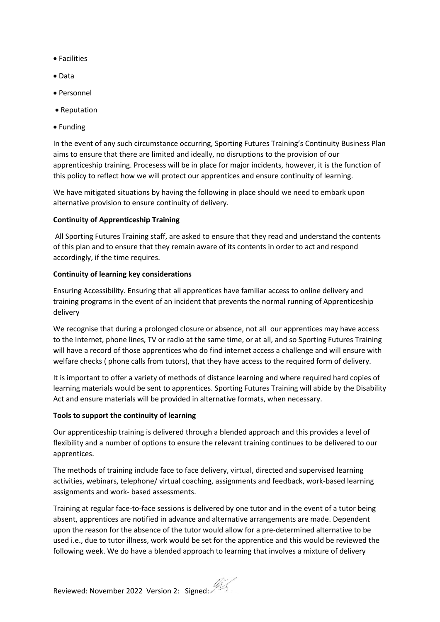- Facilities
- Data
- Personnel
- Reputation
- Funding

In the event of any such circumstance occurring, Sporting Futures Training's Continuity Business Plan aims to ensure that there are limited and ideally, no disruptions to the provision of our apprenticeship training. Procesess will be in place for major incidents, however, it is the function of this policy to reflect how we will protect our apprentices and ensure continuity of learning.

We have mitigated situations by having the following in place should we need to embark upon alternative provision to ensure continuity of delivery.

### **Continuity of Apprenticeship Training**

All Sporting Futures Training staff, are asked to ensure that they read and understand the contents of this plan and to ensure that they remain aware of its contents in order to act and respond accordingly, if the time requires.

### **Continuity of learning key considerations**

Ensuring Accessibility. Ensuring that all apprentices have familiar access to online delivery and training programs in the event of an incident that prevents the normal running of Apprenticeship delivery

We recognise that during a prolonged closure or absence, not all our apprentices may have access to the Internet, phone lines, TV or radio at the same time, or at all, and so Sporting Futures Training will have a record of those apprentices who do find internet access a challenge and will ensure with welfare checks ( phone calls from tutors), that they have access to the required form of delivery.

It is important to offer a variety of methods of distance learning and where required hard copies of learning materials would be sent to apprentices. Sporting Futures Training will abide by the Disability Act and ensure materials will be provided in alternative formats, when necessary.

### **Tools to support the continuity of learning**

Our apprenticeship training is delivered through a blended approach and this provides a level of flexibility and a number of options to ensure the relevant training continues to be delivered to our apprentices.

The methods of training include face to face delivery, virtual, directed and supervised learning activities, webinars, telephone/ virtual coaching, assignments and feedback, work-based learning assignments and work- based assessments.

Training at regular face-to-face sessions is delivered by one tutor and in the event of a tutor being absent, apprentices are notified in advance and alternative arrangements are made. Dependent upon the reason for the absence of the tutor would allow for a pre-determined alternative to be used i.e., due to tutor illness, work would be set for the apprentice and this would be reviewed the following week. We do have a blended approach to learning that involves a mixture of delivery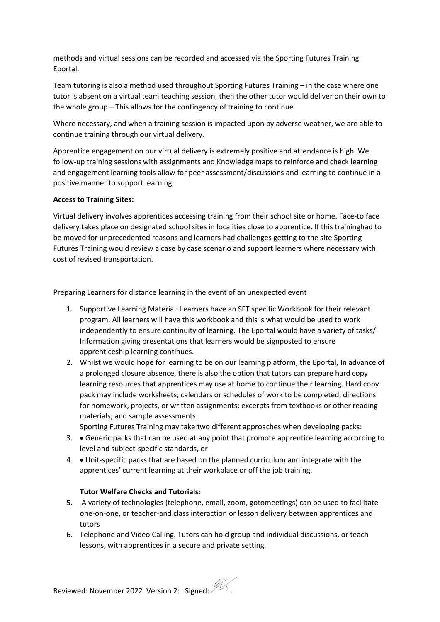methods and virtual sessions can be recorded and accessed via the Sporting Futures Training Eportal.

Team tutoring is also a method used throughout Sporting Futures Training – in the case where one tutor is absent on a virtual team teaching session, then the other tutor would deliver on their own to the whole group – This allows for the contingency of training to continue.

Where necessary, and when a training session is impacted upon by adverse weather, we are able to continue training through our virtual delivery.

Apprentice engagement on our virtual delivery is extremely positive and attendance is high. We follow-up training sessions with assignments and Knowledge maps to reinforce and check learning and engagement learning tools allow for peer assessment/discussions and learning to continue in a positive manner to support learning.

# **Access to Training Sites:**

Virtual delivery involves apprentices accessing training from their school site or home. Face-to face delivery takes place on designated school sites in localities close to apprentice. If this traininghad to be moved for unprecedented reasons and learners had challenges getting to the site Sporting Futures Training would review a case by case scenario and support learners where necessary with cost of revised transportation.

Preparing Learners for distance learning in the event of an unexpected event

- 1. Supportive Learning Material: Learners have an SFT specific Workbook for their relevant program. All learners will have this workbook and this is what would be used to work independently to ensure continuity of learning. The Eportal would have a variety of tasks/ Information giving presentations that learners would be signposted to ensure apprenticeship learning continues.
- 2. Whilst we would hope for learning to be on our learning platform, the Eportal, In advance of a prolonged closure absence, there is also the option that tutors can prepare hard copy learning resources that apprentices may use at home to continue their learning. Hard copy pack may include worksheets; calendars or schedules of work to be completed; directions for homework, projects, or written assignments; excerpts from textbooks or other reading materials; and sample assessments.

Sporting Futures Training may take two different approaches when developing packs:

- 3. Generic packs that can be used at any point that promote apprentice learning according to level and subject-specific standards, or
- 4. Unit-specific packs that are based on the planned curriculum and integrate with the apprentices' current learning at their workplace or off the job training.

### **Tutor Welfare Checks and Tutorials:**

- 5. A variety of technologies (telephone, email, zoom, gotomeetings) can be used to facilitate one-on-one, or teacher-and class interaction or lesson delivery between apprentices and tutors
- 6. Telephone and Video Calling. Tutors can hold group and individual discussions, or teach lessons, with apprentices in a secure and private setting.